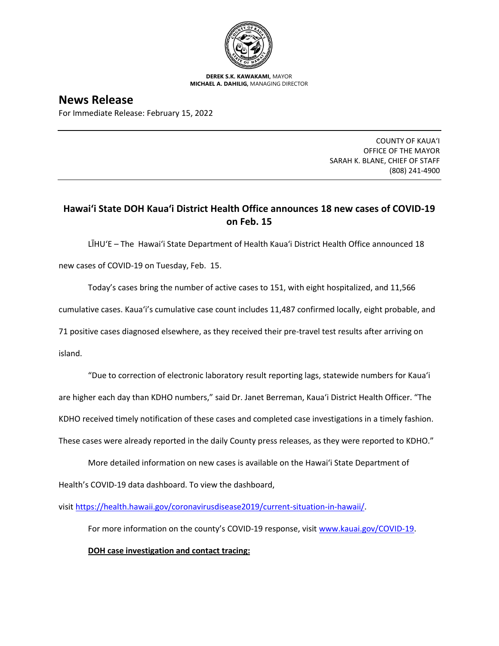

**DEREK S.K. KAWAKAMI,** MAYOR **MICHAEL A. DAHILIG,** MANAGING DIRECTOR

**News Release** For Immediate Release: February 15, 2022

> COUNTY OF KAUA'I OFFICE OF THE MAYOR SARAH K. BLANE, CHIEF OF STAFF (808) 241-4900

## **Hawai'i State DOH Kaua'i District Health Office announces 18 new cases of COVID-19 on Feb. 15**

LĪHU'E – The Hawai'i State Department of Health Kaua'i District Health Office announced 18 new cases of COVID-19 on Tuesday, Feb. 15.

Today's cases bring the number of active cases to 151, with eight hospitalized, and 11,566

cumulative cases. Kaua'i's cumulative case count includes 11,487 confirmed locally, eight probable, and

71 positive cases diagnosed elsewhere, as they received their pre-travel test results after arriving on

island.

"Due to correction of electronic laboratory result reporting lags, statewide numbers for Kaua'i are higher each day than KDHO numbers," said Dr. Janet Berreman, Kaua'i District Health Officer. "The KDHO received timely notification of these cases and completed case investigations in a timely fashion. These cases were already reported in the daily County press releases, as they were reported to KDHO."

More detailed information on new cases is available on the Hawai'i State Department of Health's COVID-19 data dashboard. To view the dashboard,

visit [https://health.hawaii.gov/coronavirusdisease2019/current-situation-in-hawaii/.](https://health.hawaii.gov/coronavirusdisease2019/current-situation-in-hawaii/)

For more information on the county's COVID-19 response, visit [www.kauai.gov/COVID-19.](https://urldefense.com/v3/__http:/www.kauai.gov/COVID-19__;!!LIYSdFfckKA!l4A5nHuw73q2ubt1jVfVpBxrgAoeT-qm9LHA2X0eDo7DmU1d8EztTez1J2SRjWo05uCKvMiUtA$)

**DOH case investigation and contact tracing:**